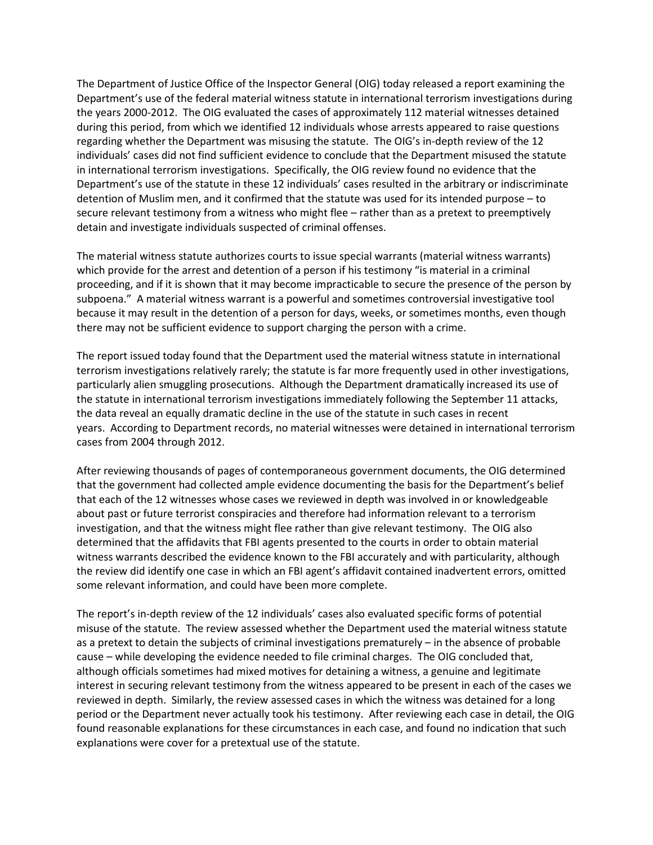The Department of Justice Office of the Inspector General (OIG) today released a report examining the Department's use of the federal material witness statute in international terrorism investigations during the years 2000-2012. The OIG evaluated the cases of approximately 112 material witnesses detained during this period, from which we identified 12 individuals whose arrests appeared to raise questions regarding whether the Department was misusing the statute. The OIG's in-depth review of the 12 individuals' cases did not find sufficient evidence to conclude that the Department misused the statute in international terrorism investigations. Specifically, the OIG review found no evidence that the Department's use of the statute in these 12 individuals' cases resulted in the arbitrary or indiscriminate detention of Muslim men, and it confirmed that the statute was used for its intended purpose – to secure relevant testimony from a witness who might flee – rather than as a pretext to preemptively detain and investigate individuals suspected of criminal offenses.

The material witness statute authorizes courts to issue special warrants (material witness warrants) which provide for the arrest and detention of a person if his testimony "is material in a criminal proceeding, and if it is shown that it may become impracticable to secure the presence of the person by subpoena." A material witness warrant is a powerful and sometimes controversial investigative tool because it may result in the detention of a person for days, weeks, or sometimes months, even though there may not be sufficient evidence to support charging the person with a crime.

The report issued today found that the Department used the material witness statute in international terrorism investigations relatively rarely; the statute is far more frequently used in other investigations, particularly alien smuggling prosecutions. Although the Department dramatically increased its use of the statute in international terrorism investigations immediately following the September 11 attacks, the data reveal an equally dramatic decline in the use of the statute in such cases in recent years. According to Department records, no material witnesses were detained in international terrorism cases from 2004 through 2012.

After reviewing thousands of pages of contemporaneous government documents, the OIG determined that the government had collected ample evidence documenting the basis for the Department's belief that each of the 12 witnesses whose cases we reviewed in depth was involved in or knowledgeable about past or future terrorist conspiracies and therefore had information relevant to a terrorism investigation, and that the witness might flee rather than give relevant testimony. The OIG also determined that the affidavits that FBI agents presented to the courts in order to obtain material witness warrants described the evidence known to the FBI accurately and with particularity, although the review did identify one case in which an FBI agent's affidavit contained inadvertent errors, omitted some relevant information, and could have been more complete.

The report's in-depth review of the 12 individuals' cases also evaluated specific forms of potential misuse of the statute. The review assessed whether the Department used the material witness statute as a pretext to detain the subjects of criminal investigations prematurely – in the absence of probable cause – while developing the evidence needed to file criminal charges. The OIG concluded that, although officials sometimes had mixed motives for detaining a witness, a genuine and legitimate interest in securing relevant testimony from the witness appeared to be present in each of the cases we reviewed in depth. Similarly, the review assessed cases in which the witness was detained for a long period or the Department never actually took his testimony. After reviewing each case in detail, the OIG found reasonable explanations for these circumstances in each case, and found no indication that such explanations were cover for a pretextual use of the statute.